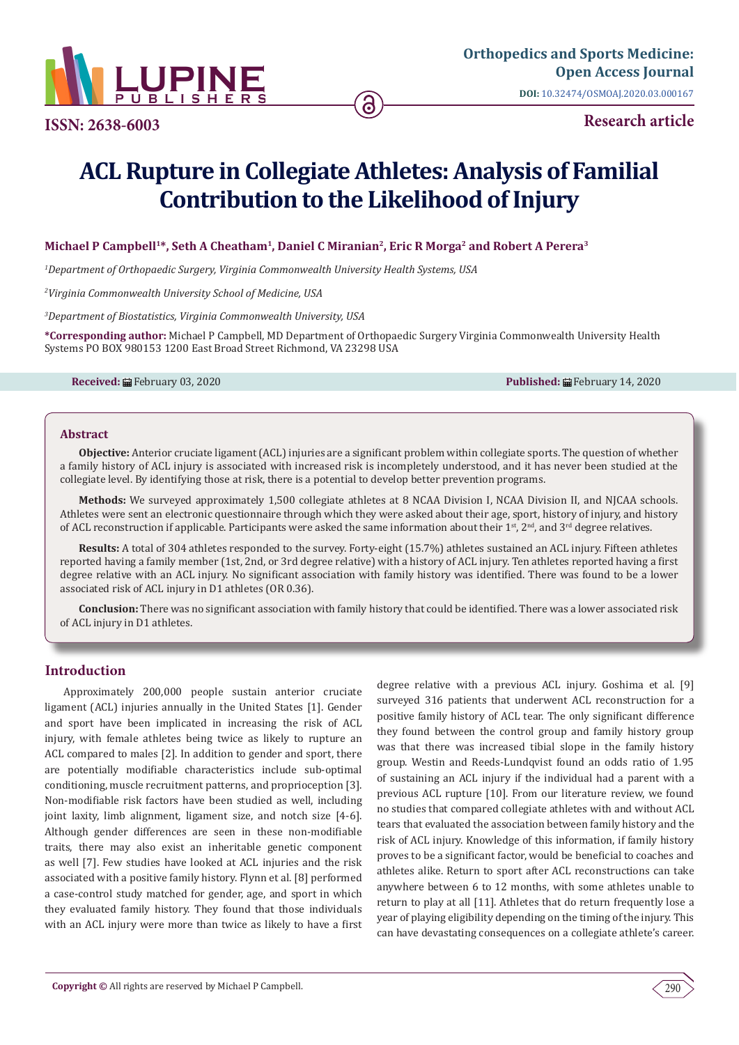

**Research article ISSN: 2638-6003**

# **ACL Rupture in Collegiate Athletes: Analysis of Familial Contribution to the Likelihood of Injury**

## **Michael P Campbell1\*, Seth A Cheatham1, Daniel C Miranian2, Eric R Morga2 and Robert A Perera3**

*1 Department of Orthopaedic Surgery, Virginia Commonwealth University Health Systems, USA*

*2 Virginia Commonwealth University School of Medicine, USA*

*3 Department of Biostatistics, Virginia Commonwealth University, USA*

**\*Corresponding author:** Michael P Campbell, MD Department of Orthopaedic Surgery Virginia Commonwealth University Health Systems PO BOX 980153 1200 East Broad Street Richmond, VA 23298 USA

**Received:** ■February 03, 2020 **Published:** ■February 14, 2020

#### **Abstract**

**Objective:** Anterior cruciate ligament (ACL) injuries are a significant problem within collegiate sports. The question of whether a family history of ACL injury is associated with increased risk is incompletely understood, and it has never been studied at the collegiate level. By identifying those at risk, there is a potential to develop better prevention programs.

**Methods:** We surveyed approximately 1,500 collegiate athletes at 8 NCAA Division I, NCAA Division II, and NJCAA schools. Athletes were sent an electronic questionnaire through which they were asked about their age, sport, history of injury, and history of ACL reconstruction if applicable. Participants were asked the same information about their  $1<sup>st</sup>, 2<sup>nd</sup>$ , and  $3<sup>rd</sup>$  degree relatives.

**Results:** A total of 304 athletes responded to the survey. Forty-eight (15.7%) athletes sustained an ACL injury. Fifteen athletes reported having a family member (1st, 2nd, or 3rd degree relative) with a history of ACL injury. Ten athletes reported having a first degree relative with an ACL injury. No significant association with family history was identified. There was found to be a lower associated risk of ACL injury in D1 athletes (OR 0.36).

**Conclusion:** There was no significant association with family history that could be identified. There was a lower associated risk of ACL injury in D1 athletes.

# **Introduction**

Approximately 200,000 people sustain anterior cruciate ligament (ACL) injuries annually in the United States [1]. Gender and sport have been implicated in increasing the risk of ACL injury, with female athletes being twice as likely to rupture an ACL compared to males [2]. In addition to gender and sport, there are potentially modifiable characteristics include sub-optimal conditioning, muscle recruitment patterns, and proprioception [3]. Non-modifiable risk factors have been studied as well, including joint laxity, limb alignment, ligament size, and notch size [4-6]. Although gender differences are seen in these non-modifiable traits, there may also exist an inheritable genetic component as well [7]. Few studies have looked at ACL injuries and the risk associated with a positive family history. Flynn et al. [8] performed a case-control study matched for gender, age, and sport in which they evaluated family history. They found that those individuals with an ACL injury were more than twice as likely to have a first

degree relative with a previous ACL injury. Goshima et al. [9] surveyed 316 patients that underwent ACL reconstruction for a positive family history of ACL tear. The only significant difference they found between the control group and family history group was that there was increased tibial slope in the family history group. Westin and Reeds-Lundqvist found an odds ratio of 1.95 of sustaining an ACL injury if the individual had a parent with a previous ACL rupture [10]. From our literature review, we found no studies that compared collegiate athletes with and without ACL tears that evaluated the association between family history and the risk of ACL injury. Knowledge of this information, if family history proves to be a significant factor, would be beneficial to coaches and athletes alike. Return to sport after ACL reconstructions can take anywhere between 6 to 12 months, with some athletes unable to return to play at all [11]. Athletes that do return frequently lose a year of playing eligibility depending on the timing of the injury. This can have devastating consequences on a collegiate athlete's career.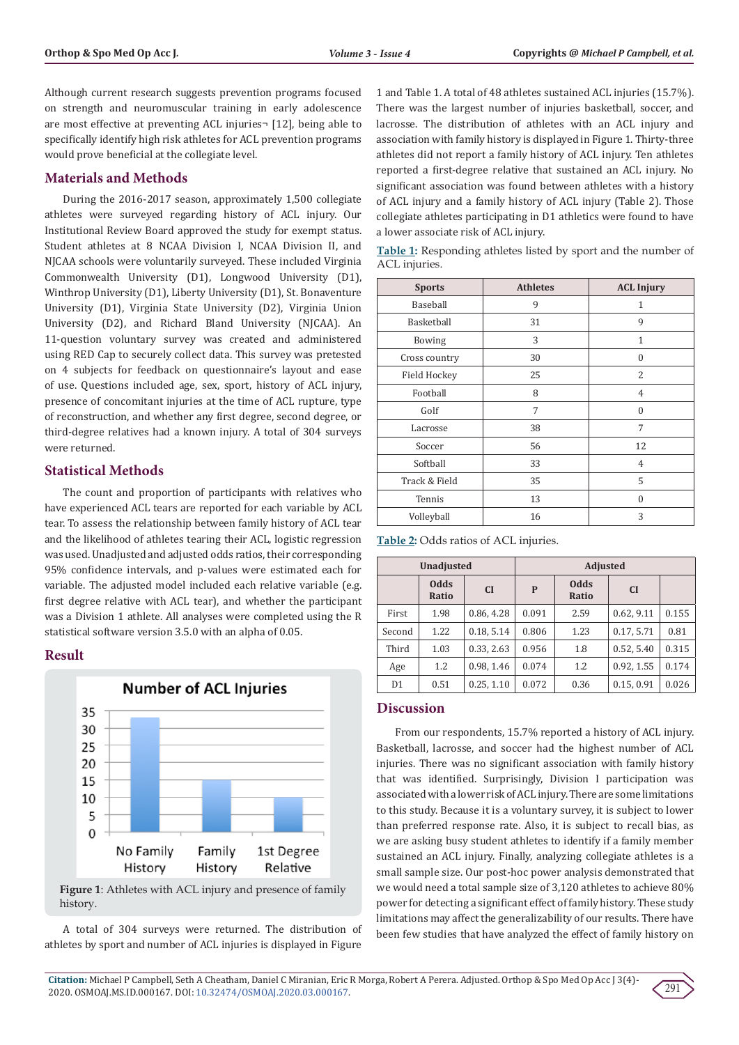Although current research suggests prevention programs focused on strength and neuromuscular training in early adolescence are most effective at preventing ACL injuries¬ [12], being able to specifically identify high risk athletes for ACL prevention programs would prove beneficial at the collegiate level.

### **Materials and Methods**

During the 2016-2017 season, approximately 1,500 collegiate athletes were surveyed regarding history of ACL injury. Our Institutional Review Board approved the study for exempt status. Student athletes at 8 NCAA Division I, NCAA Division II, and NJCAA schools were voluntarily surveyed. These included Virginia Commonwealth University (D1), Longwood University (D1), Winthrop University (D1), Liberty University (D1), St. Bonaventure University (D1), Virginia State University (D2), Virginia Union University (D2), and Richard Bland University (NJCAA). An 11-question voluntary survey was created and administered using RED Cap to securely collect data. This survey was pretested on 4 subjects for feedback on questionnaire's layout and ease of use. Questions included age, sex, sport, history of ACL injury, presence of concomitant injuries at the time of ACL rupture, type of reconstruction, and whether any first degree, second degree, or third-degree relatives had a known injury. A total of 304 surveys were returned.

## **Statistical Methods**

The count and proportion of participants with relatives who have experienced ACL tears are reported for each variable by ACL tear. To assess the relationship between family history of ACL tear and the likelihood of athletes tearing their ACL, logistic regression was used. Unadjusted and adjusted odds ratios, their corresponding 95% confidence intervals, and p-values were estimated each for variable. The adjusted model included each relative variable (e.g. first degree relative with ACL tear), and whether the participant was a Division 1 athlete. All analyses were completed using the R statistical software version 3.5.0 with an alpha of 0.05.

### **Result**



**Figure 1**: Athletes with ACL injury and presence of family history.

A total of 304 surveys were returned. The distribution of athletes by sport and number of ACL injuries is displayed in Figure

1 and Table 1. A total of 48 athletes sustained ACL injuries (15.7%). There was the largest number of injuries basketball, soccer, and lacrosse. The distribution of athletes with an ACL injury and association with family history is displayed in Figure 1. Thirty-three athletes did not report a family history of ACL injury. Ten athletes reported a first-degree relative that sustained an ACL injury. No significant association was found between athletes with a history of ACL injury and a family history of ACL injury (Table 2). Those collegiate athletes participating in D1 athletics were found to have a lower associate risk of ACL injury.

**Table 1:** Responding athletes listed by sport and the number of ACL injuries.

| <b>Sports</b> | <b>Athletes</b> | <b>ACL Injury</b> |  |
|---------------|-----------------|-------------------|--|
| Baseball      | 9               | 1                 |  |
| Basketball    | 31              | 9                 |  |
| <b>Bowing</b> | 3               | 1                 |  |
| Cross country | 30              | $\theta$          |  |
| Field Hockey  | 25              | 2                 |  |
| Football      | 8               | $\overline{4}$    |  |
| Golf          | 7               | $\theta$          |  |
| Lacrosse      | 38              | 7                 |  |
| Soccer        | 56              | 12                |  |
| Softball      | 33              | $\overline{4}$    |  |
| Track & Field | 35              | 5                 |  |
| Tennis        | 13              | $\theta$          |  |
| Volleyball    | 16              | 3                 |  |

**Table 2:** Odds ratios of ACL injuries.

| <b>Unadjusted</b> |                      | <b>Adjusted</b> |       |                      |            |       |
|-------------------|----------------------|-----------------|-------|----------------------|------------|-------|
|                   | <b>Odds</b><br>Ratio | <b>CI</b>       | P     | <b>Odds</b><br>Ratio | <b>CI</b>  |       |
| First             | 1.98                 | 0.86, 4.28      | 0.091 | 2.59                 | 0.62, 9.11 | 0.155 |
| Second            | 1.22                 | 0.18.5.14       | 0.806 | 1.23                 | 0.17.5.71  | 0.81  |
| Third             | 1.03                 | 0.33, 2.63      | 0.956 | 1.8                  | 0.52, 5.40 | 0.315 |
| Age               | 1.2                  | 0.98, 1.46      | 0.074 | 1.2                  | 0.92, 1.55 | 0.174 |
| D1                | 0.51                 | 0.25, 1.10      | 0.072 | 0.36                 | 0.15, 0.91 | 0.026 |

# **Discussion**

From our respondents, 15.7% reported a history of ACL injury. Basketball, lacrosse, and soccer had the highest number of ACL injuries. There was no significant association with family history that was identified. Surprisingly, Division I participation was associated with a lower risk of ACL injury. There are some limitations to this study. Because it is a voluntary survey, it is subject to lower than preferred response rate. Also, it is subject to recall bias, as we are asking busy student athletes to identify if a family member sustained an ACL injury. Finally, analyzing collegiate athletes is a small sample size. Our post-hoc power analysis demonstrated that we would need a total sample size of 3,120 athletes to achieve 80% power for detecting a significant effect of family history. These study limitations may affect the generalizability of our results. There have been few studies that have analyzed the effect of family history on